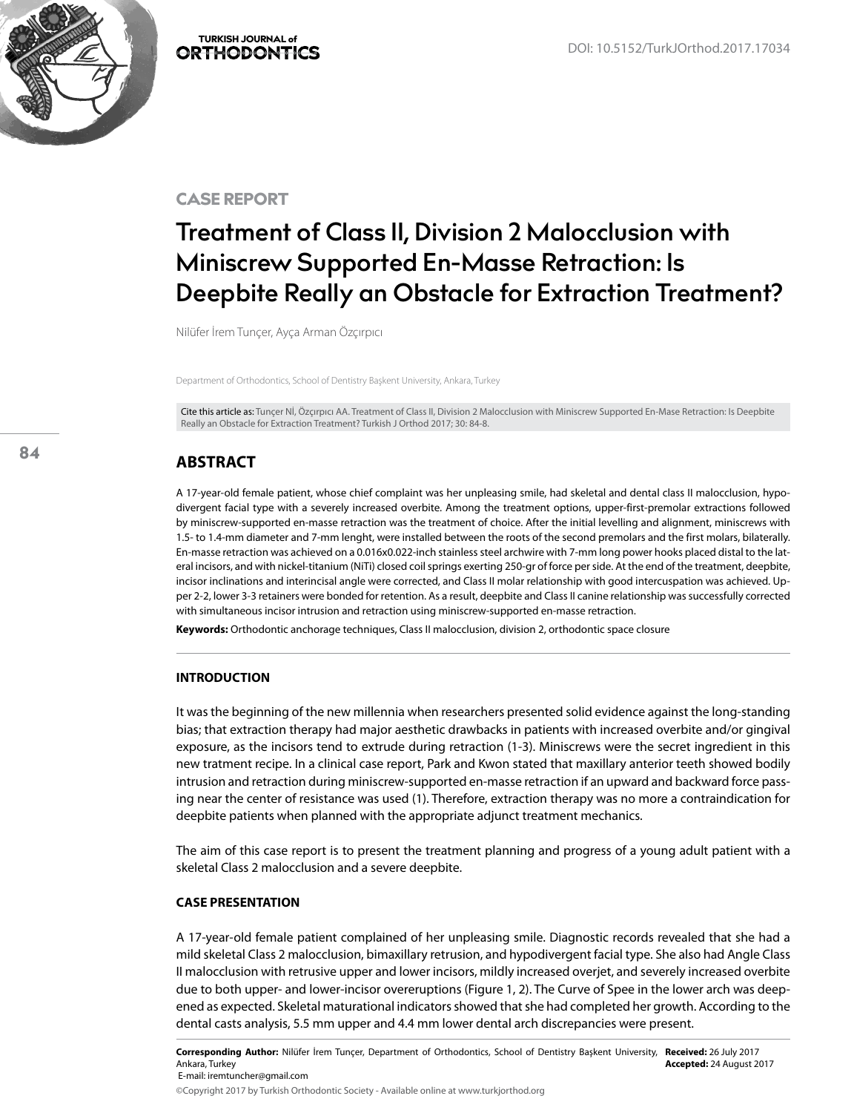

CASE REPORT

# **Treatment of Class II, Division 2 Malocclusion with Miniscrew Supported En-Masse Retraction: Is Deepbite Really an Obstacle for Extraction Treatment?**

Nilüfer İrem Tunçer, Ayça Arman Özçırpıcı

Department of Orthodontics, School of Dentistry Başkent University, Ankara, Turkey

Cite this article as: Tunçer Nİ, Özçırpıcı AA. Treatment of Class II, Division 2 Malocclusion with Miniscrew Supported En-Mase Retraction: Is Deepbite Really an Obstacle for Extraction Treatment? Turkish J Orthod 2017; 30: 84-8.

# **ABSTRACT**

A 17-year-old female patient, whose chief complaint was her unpleasing smile, had skeletal and dental class II malocclusion, hypodivergent facial type with a severely increased overbite. Among the treatment options, upper-first-premolar extractions followed by miniscrew-supported en-masse retraction was the treatment of choice. After the initial levelling and alignment, miniscrews with 1.5- to 1.4-mm diameter and 7-mm lenght, were installed between the roots of the second premolars and the first molars, bilaterally. En-masse retraction was achieved on a 0.016x0.022-inch stainless steel archwire with 7-mm long power hooks placed distal to the lateral incisors, and with nickel-titanium (NiTi) closed coil springs exerting 250-gr of force per side. At the end of the treatment, deepbite, incisor inclinations and interincisal angle were corrected, and Class II molar relationship with good intercuspation was achieved. Upper 2-2, lower 3-3 retainers were bonded for retention. As a result, deepbite and Class II canine relationship was successfully corrected with simultaneous incisor intrusion and retraction using miniscrew-supported en-masse retraction.

**Keywords:** Orthodontic anchorage techniques, Class II malocclusion, division 2, orthodontic space closure

# **INTRODUCTION**

It was the beginning of the new millennia when researchers presented solid evidence against the long-standing bias; that extraction therapy had major aesthetic drawbacks in patients with increased overbite and/or gingival exposure, as the incisors tend to extrude during retraction (1-3). Miniscrews were the secret ingredient in this new tratment recipe. In a clinical case report, Park and Kwon stated that maxillary anterior teeth showed bodily intrusion and retraction during miniscrew-supported en-masse retraction if an upward and backward force passing near the center of resistance was used (1). Therefore, extraction therapy was no more a contraindication for deepbite patients when planned with the appropriate adjunct treatment mechanics.

The aim of this case report is to present the treatment planning and progress of a young adult patient with a skeletal Class 2 malocclusion and a severe deepbite.

#### **CASE PRESENTATION**

A 17-year-old female patient complained of her unpleasing smile. Diagnostic records revealed that she had a mild skeletal Class 2 malocclusion, bimaxillary retrusion, and hypodivergent facial type. She also had Angle Class II malocclusion with retrusive upper and lower incisors, mildly increased overjet, and severely increased overbite due to both upper- and lower-incisor overeruptions (Figure 1, 2). The Curve of Spee in the lower arch was deepened as expected. Skeletal maturational indicators showed that she had completed her growth. According to the dental casts analysis, 5.5 mm upper and 4.4 mm lower dental arch discrepancies were present.

**Corresponding Author:** Nilüfer İrem Tunçer, Department of Orthodontics, School of Dentistry Başkent University, **Received:** 26 July 2017 Ankara, Turkey E-mail: iremtuncher@gmail.com **Accepted:** 24 August 2017

©Copyright 2017 by Turkish Orthodontic Society - Available online at www.turkjorthod.org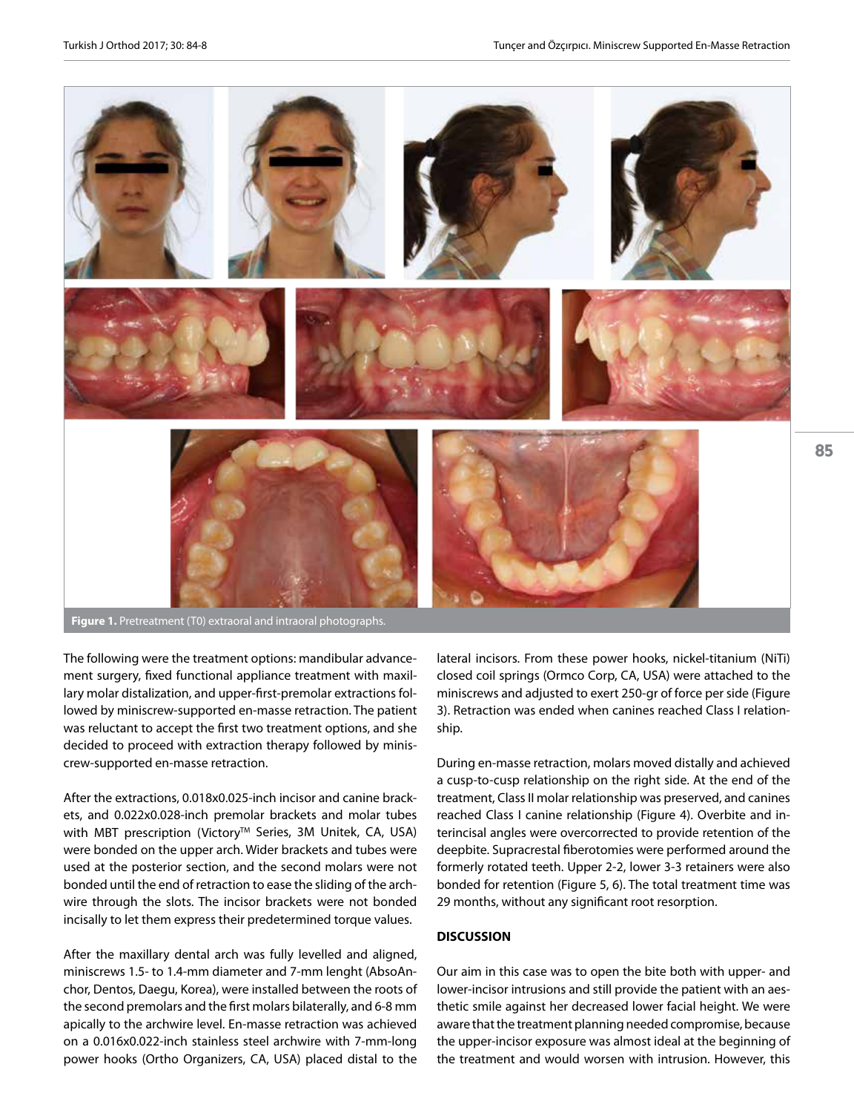

**Figure 1.** Pretreatment (T0) extraoral and intraoral photographs.

The following were the treatment options: mandibular advancement surgery, fixed functional appliance treatment with maxillary molar distalization, and upper-first-premolar extractions followed by miniscrew-supported en-masse retraction. The patient was reluctant to accept the first two treatment options, and she decided to proceed with extraction therapy followed by miniscrew-supported en-masse retraction.

After the extractions, 0.018x0.025-inch incisor and canine brackets, and 0.022x0.028-inch premolar brackets and molar tubes with MBT prescription (Victory™ Series, 3M Unitek, CA, USA) were bonded on the upper arch. Wider brackets and tubes were used at the posterior section, and the second molars were not bonded until the end of retraction to ease the sliding of the archwire through the slots. The incisor brackets were not bonded incisally to let them express their predetermined torque values.

After the maxillary dental arch was fully levelled and aligned, miniscrews 1.5- to 1.4-mm diameter and 7-mm lenght (AbsoAnchor, Dentos, Daegu, Korea), were installed between the roots of the second premolars and the first molars bilaterally, and 6-8 mm apically to the archwire level. En-masse retraction was achieved on a 0.016x0.022-inch stainless steel archwire with 7-mm-long power hooks (Ortho Organizers, CA, USA) placed distal to the

lateral incisors. From these power hooks, nickel-titanium (NiTi) closed coil springs (Ormco Corp, CA, USA) were attached to the miniscrews and adjusted to exert 250-gr of force per side (Figure 3). Retraction was ended when canines reached Class I relationship.

85

During en-masse retraction, molars moved distally and achieved a cusp-to-cusp relationship on the right side. At the end of the treatment, Class II molar relationship was preserved, and canines reached Class I canine relationship (Figure 4). Overbite and interincisal angles were overcorrected to provide retention of the deepbite. Supracrestal fiberotomies were performed around the formerly rotated teeth. Upper 2-2, lower 3-3 retainers were also bonded for retention (Figure 5, 6). The total treatment time was 29 months, without any significant root resorption.

#### **DISCUSSION**

Our aim in this case was to open the bite both with upper- and lower-incisor intrusions and still provide the patient with an aesthetic smile against her decreased lower facial height. We were aware that the treatment planning needed compromise, because the upper-incisor exposure was almost ideal at the beginning of the treatment and would worsen with intrusion. However, this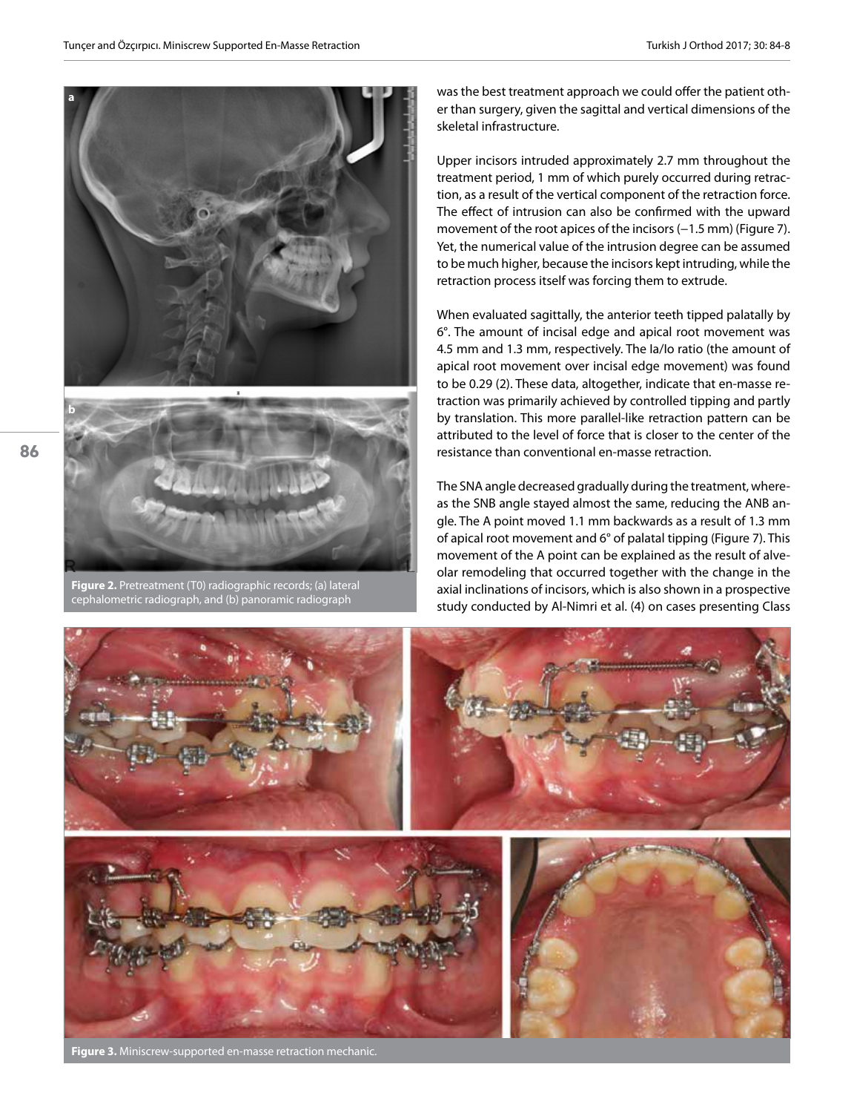



**Figure 2.** Pretreatment (T0) radiographic records; (a) lateral cephalometric radiograph, and (b) panoramic radiograph

was the best treatment approach we could offer the patient other than surgery, given the sagittal and vertical dimensions of the skeletal infrastructure.

Upper incisors intruded approximately 2.7 mm throughout the treatment period, 1 mm of which purely occurred during retraction, as a result of the vertical component of the retraction force. The effect of intrusion can also be confirmed with the upward movement of the root apices of the incisors (−1.5 mm) (Figure 7). Yet, the numerical value of the intrusion degree can be assumed to be much higher, because the incisors kept intruding, while the retraction process itself was forcing them to extrude.

When evaluated sagittally, the anterior teeth tipped palatally by 6°. The amount of incisal edge and apical root movement was 4.5 mm and 1.3 mm, respectively. The Ia/Io ratio (the amount of apical root movement over incisal edge movement) was found to be 0.29 (2). These data, altogether, indicate that en-masse retraction was primarily achieved by controlled tipping and partly by translation. This more parallel-like retraction pattern can be attributed to the level of force that is closer to the center of the resistance than conventional en-masse retraction.

The SNA angle decreased gradually during the treatment, whereas the SNB angle stayed almost the same, reducing the ANB angle. The A point moved 1.1 mm backwards as a result of 1.3 mm of apical root movement and 6° of palatal tipping (Figure 7). This movement of the A point can be explained as the result of alveolar remodeling that occurred together with the change in the axial inclinations of incisors, which is also shown in a prospective study conducted by Al-Nimri et al. (4) on cases presenting Class



**Figure 3.** Miniscrew-supported en-masse retraction mechanic.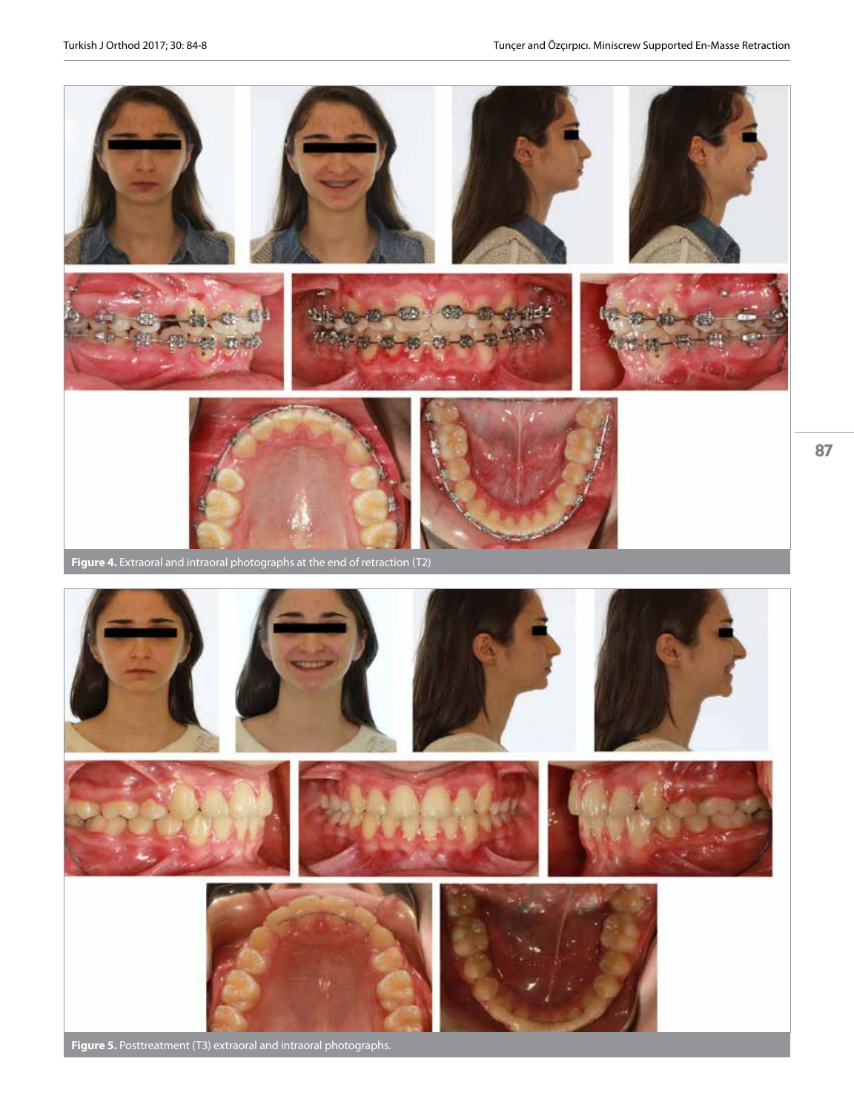